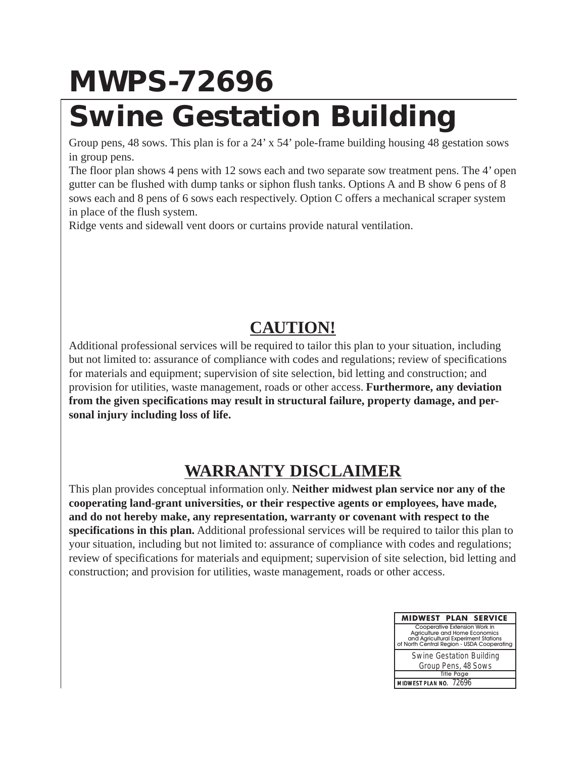## **MWPS-72696**

## **Swine Gestation Building**

Group pens, 48 sows. This plan is for a 24' x 54' pole-frame building housing 48 gestation sows in group pens.

The floor plan shows 4 pens with 12 sows each and two separate sow treatment pens. The 4' open gutter can be flushed with dump tanks or siphon flush tanks. Options A and B show 6 pens of 8 sows each and 8 pens of 6 sows each respectively. Option C offers a mechanical scraper system in place of the flush system.

Ridge vents and sidewall vent doors or curtains provide natural ventilation.

## **CAUTION!**

Additional professional services will be required to tailor this plan to your situation, including but not limited to: assurance of compliance with codes and regulations; review of specifications for materials and equipment; supervision of site selection, bid letting and construction; and provision for utilities, waste management, roads or other access. **Furthermore, any deviation from the given specifications may result in structural failure, property damage, and personal injury including loss of life.**

## **WARRANTY DISCLAIMER**

This plan provides conceptual information only. **Neither midwest plan service nor any of the cooperating land-grant universities, or their respective agents or employees, have made, and do not hereby make, any representation, warranty or covenant with respect to the specifications in this plan.** Additional professional services will be required to tailor this plan to your situation, including but not limited to: assurance of compliance with codes and regulations; review of specifications for materials and equipment; supervision of site selection, bid letting and construction; and provision for utilities, waste management, roads or other access.

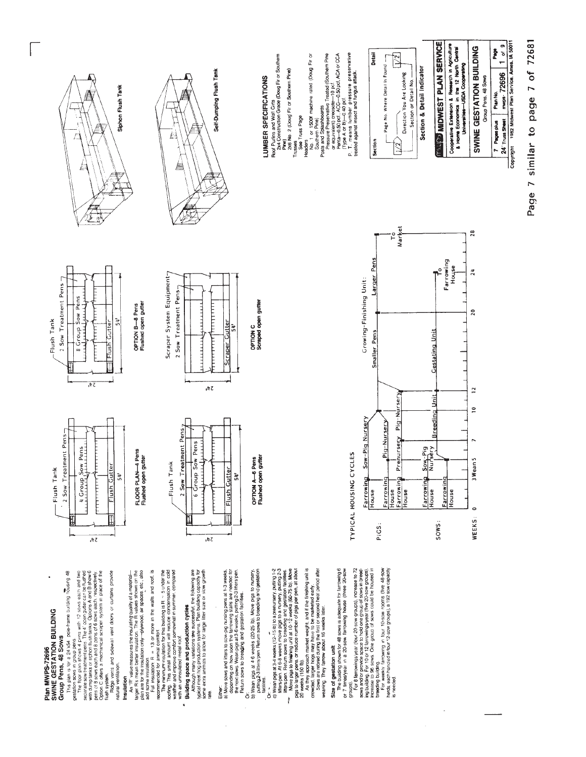

Insulation

Either:

Page 7 similar to page 7 of 72681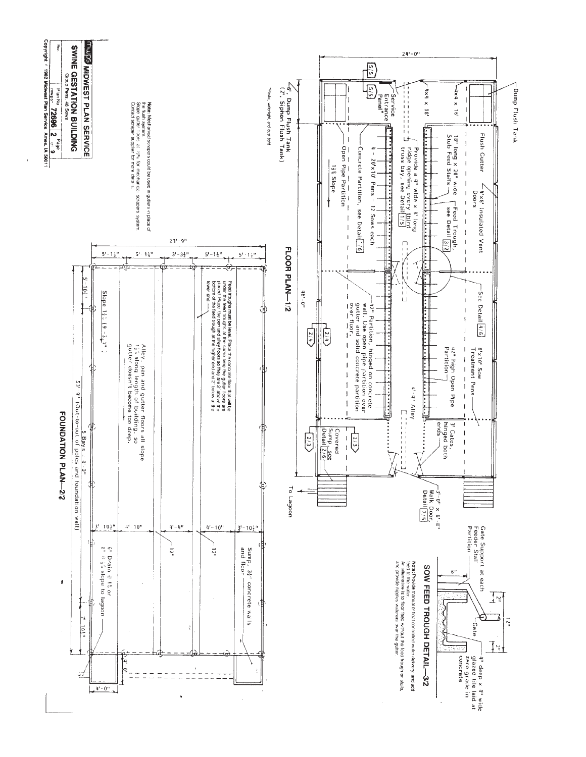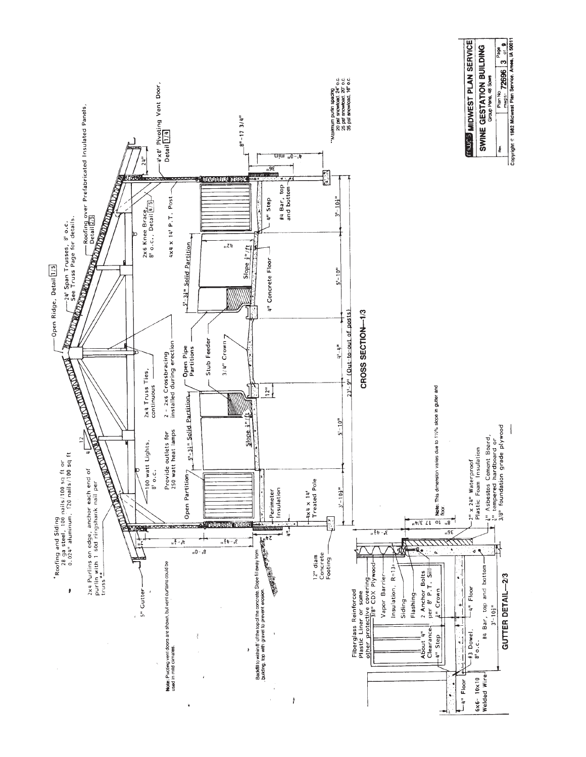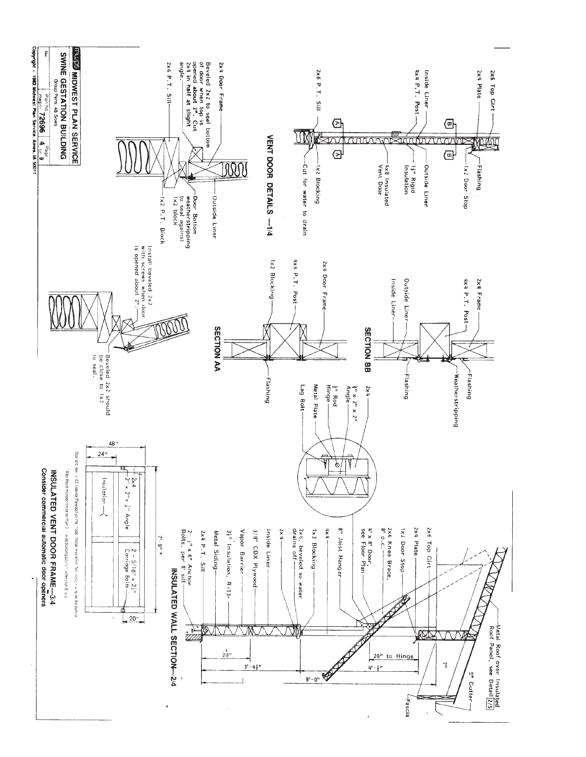![](_page_4_Figure_0.jpeg)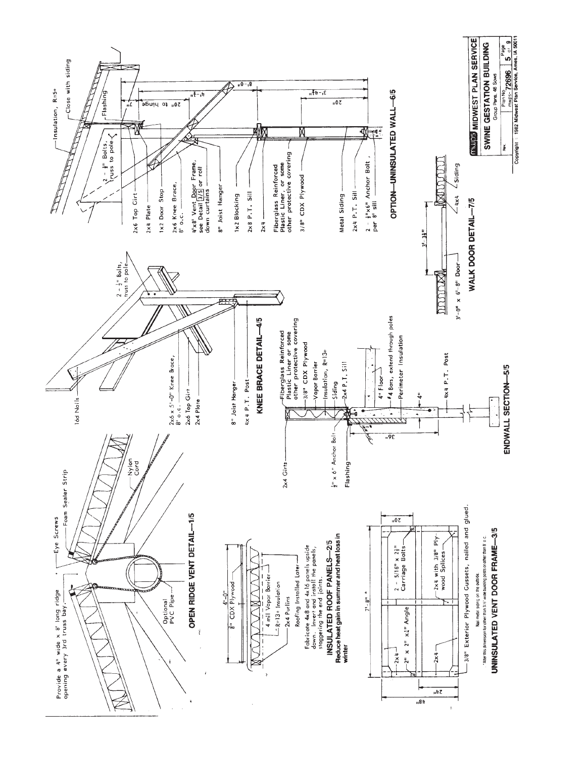![](_page_5_Figure_0.jpeg)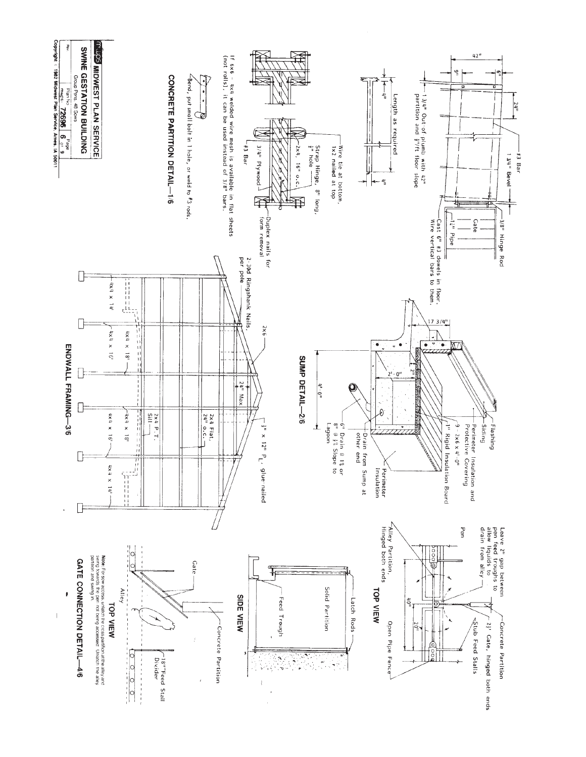![](_page_6_Figure_0.jpeg)